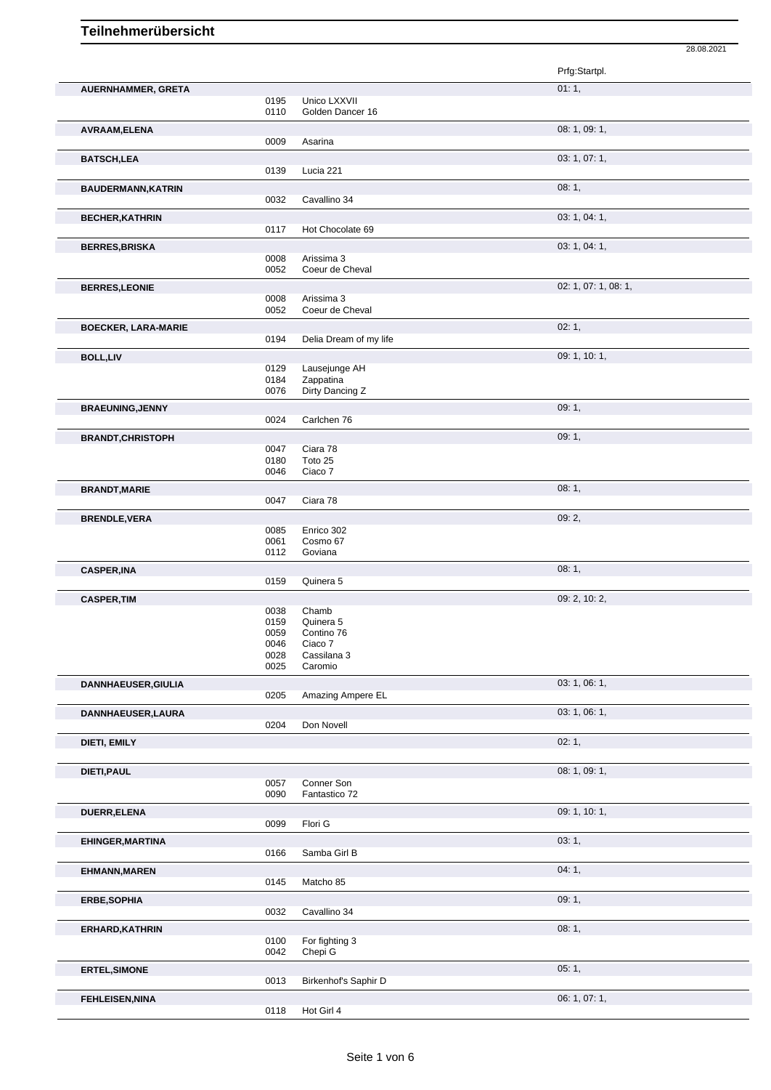|                            |              |                        | 28.08.2021           |
|----------------------------|--------------|------------------------|----------------------|
|                            |              |                        | Prfg:Startpl.        |
|                            |              |                        |                      |
| AUERNHAMMER, GRETA         | 0195         | Unico LXXVII           | 01:1,                |
|                            | 0110         | Golden Dancer 16       |                      |
|                            |              |                        |                      |
| AVRAAM, ELENA              | 0009         | Asarina                | 08: 1, 09: 1,        |
|                            |              |                        |                      |
| <b>BATSCH,LEA</b>          |              |                        | 03: 1, 07: 1,        |
|                            | 0139         | Lucia 221              |                      |
| <b>BAUDERMANN, KATRIN</b>  |              |                        | 08:1,                |
|                            | 0032         | Cavallino 34           |                      |
| <b>BECHER, KATHRIN</b>     |              |                        | 03: 1, 04: 1,        |
|                            | 0117         | Hot Chocolate 69       |                      |
| <b>BERRES, BRISKA</b>      |              |                        | 03: 1, 04: 1,        |
|                            | 0008         | Arissima 3             |                      |
|                            | 0052         | Coeur de Cheval        |                      |
| <b>BERRES, LEONIE</b>      |              |                        | 02: 1, 07: 1, 08: 1, |
|                            | 0008         | Arissima 3             |                      |
|                            | 0052         | Coeur de Cheval        |                      |
| <b>BOECKER, LARA-MARIE</b> |              |                        | 02:1,                |
|                            | 0194         | Delia Dream of my life |                      |
|                            |              |                        |                      |
| <b>BOLL,LIV</b>            | 0129         | Lausejunge AH          | 09: 1, 10: 1,        |
|                            | 0184         | Zappatina              |                      |
|                            | 0076         | Dirty Dancing Z        |                      |
|                            |              |                        | 09:1,                |
| <b>BRAEUNING, JENNY</b>    | 0024         | Carlchen 76            |                      |
|                            |              |                        |                      |
| <b>BRANDT, CHRISTOPH</b>   |              |                        | 09:1,                |
|                            | 0047<br>0180 | Ciara 78<br>Toto 25    |                      |
|                            | 0046         | Ciaco 7                |                      |
|                            |              |                        |                      |
| <b>BRANDT, MARIE</b>       | 0047         |                        | 08:1,                |
|                            |              | Ciara 78               |                      |
| <b>BRENDLE, VERA</b>       |              |                        | 09:2,                |
|                            | 0085         | Enrico 302             |                      |
|                            | 0061<br>0112 | Cosmo 67<br>Goviana    |                      |
|                            |              |                        |                      |
| <b>CASPER, INA</b>         |              |                        | 08:1,                |
|                            | 0159         | Quinera 5              |                      |
| <b>CASPER, TIM</b>         |              |                        | 09: 2, 10: 2,        |
|                            | 0038         | Chamb                  |                      |
|                            | 0159         | Quinera 5              |                      |
|                            | 0059<br>0046 | Contino 76<br>Ciaco 7  |                      |
|                            | 0028         | Cassilana 3            |                      |
|                            | 0025         | Caromio                |                      |
| <b>DANNHAEUSER, GIULIA</b> |              |                        | 03: 1, 06: 1,        |
|                            | 0205         | Amazing Ampere EL      |                      |
|                            |              |                        |                      |
| DANNHAEUSER, LAURA         |              | Don Novell             | 03: 1, 06: 1,        |
|                            | 0204         |                        |                      |
| DIETI, EMILY               |              |                        | 02:1,                |
|                            |              |                        |                      |
| DIETI, PAUL                |              |                        | 08: 1, 09: 1,        |
|                            | 0057         | Conner Son             |                      |
|                            | 0090         | Fantastico 72          |                      |
| DUERR, ELENA               |              |                        | 09: 1, 10: 1,        |
|                            | 0099         | Flori G                |                      |
| EHINGER, MARTINA           |              |                        | 03:1,                |
|                            | 0166         | Samba Girl B           |                      |
|                            |              |                        |                      |
| <b>EHMANN, MAREN</b>       |              |                        | 04:1,                |
|                            | 0145         | Matcho 85              |                      |
| ERBE, SOPHIA               |              |                        | 09:1,                |
|                            | 0032         | Cavallino 34           |                      |
| ERHARD, KATHRIN            |              |                        | 08:1,                |
|                            | 0100         | For fighting 3         |                      |
|                            | 0042         | Chepi G                |                      |
| <b>ERTEL, SIMONE</b>       |              |                        | 05:1,                |
|                            | 0013         | Birkenhof's Saphir D   |                      |
|                            |              |                        |                      |
| <b>FEHLEISEN, NINA</b>     |              |                        | 06: 1, 07: 1,        |
|                            | 0118         | Hot Girl 4             |                      |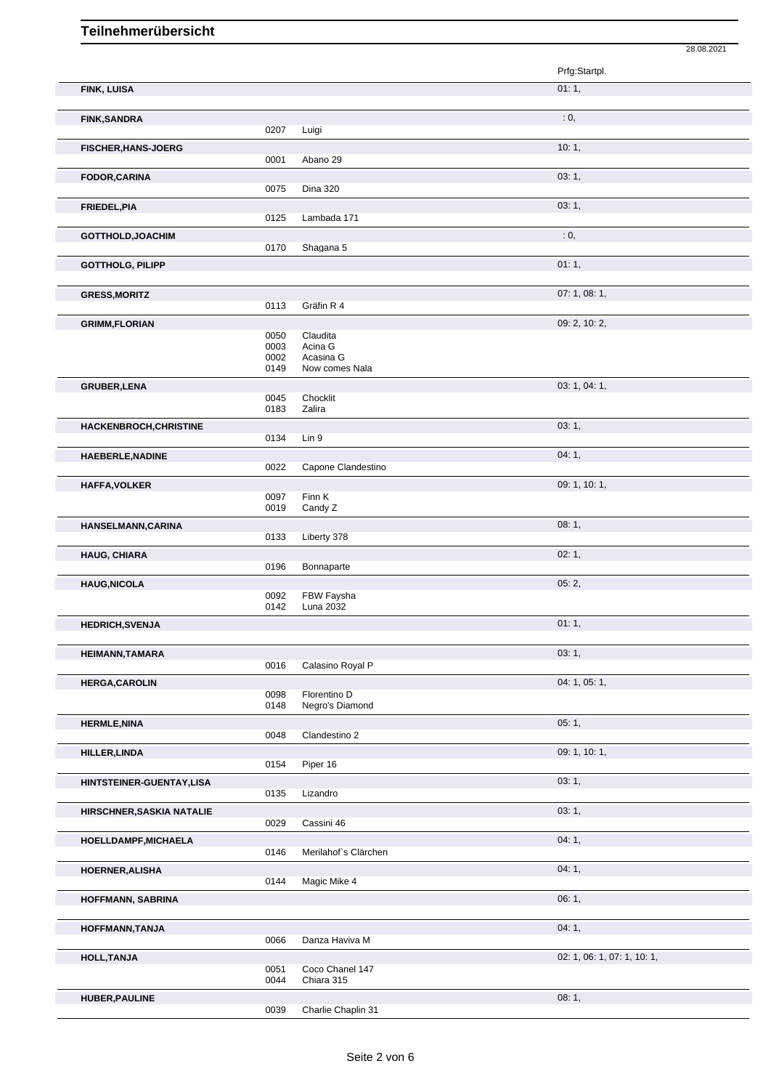|                            |              |                             | 28.08.2021                  |
|----------------------------|--------------|-----------------------------|-----------------------------|
|                            |              |                             | Prfg:Startpl.               |
| FINK, LUISA                |              |                             | 01:1,                       |
|                            |              |                             |                             |
| <b>FINK, SANDRA</b>        |              |                             | : 0,                        |
|                            | 0207         | Luigi                       |                             |
| <b>FISCHER, HANS-JOERG</b> | 0001         | Abano 29                    | 10:1,                       |
| FODOR, CARINA              |              |                             | 03:1,                       |
|                            | 0075         | <b>Dina 320</b>             |                             |
| FRIEDEL, PIA               |              |                             | 03:1,                       |
|                            | 0125         | Lambada 171                 |                             |
| GOTTHOLD, JOACHIM          | 0170         | Shagana 5                   | : 0,                        |
| <b>GOTTHOLG, PILIPP</b>    |              |                             | 01:1,                       |
|                            |              |                             |                             |
| <b>GRESS, MORITZ</b>       |              |                             | 07: 1, 08: 1,               |
|                            | 0113         | Gräfin R 4                  |                             |
| <b>GRIMM,FLORIAN</b>       | 0050         | Claudita                    | 09: 2, 10: 2,               |
|                            | 0003         | Acina G                     |                             |
|                            | 0002<br>0149 | Acasina G<br>Now comes Nala |                             |
|                            |              |                             | 03: 1, 04: 1,               |
| <b>GRUBER, LENA</b>        | 0045         | Chocklit                    |                             |
|                            | 0183         | Zalira                      |                             |
| HACKENBROCH, CHRISTINE     |              |                             | 03:1,                       |
|                            | 0134         | Lin 9                       |                             |
| <b>HAEBERLE, NADINE</b>    | 0022         | Capone Clandestino          | 04:1,                       |
| <b>HAFFA, VOLKER</b>       |              |                             | 09: 1, 10: 1,               |
|                            | 0097         | Finn K                      |                             |
|                            | 0019         | Candy Z                     |                             |
| HANSELMANN, CARINA         | 0133         | Liberty 378                 | 08:1,                       |
| <b>HAUG, CHIARA</b>        |              |                             | 02:1,                       |
|                            | 0196         | Bonnaparte                  |                             |
| <b>HAUG, NICOLA</b>        |              |                             | 05:2,                       |
|                            | 0092<br>0142 | FBW Faysha<br>Luna 2032     |                             |
| <b>HEDRICH, SVENJA</b>     |              |                             | 01:1,                       |
|                            |              |                             |                             |
| <b>HEIMANN, TAMARA</b>     |              |                             | 03:1,                       |
|                            | 0016         | Calasino Royal P            |                             |
| <b>HERGA, CAROLIN</b>      | 0098         | Florentino D                | 04: 1, 05: 1,               |
|                            | 0148         | Negro's Diamond             |                             |
| <b>HERMLE, NINA</b>        |              |                             | 05:1,                       |
|                            | 0048         | Clandestino 2               |                             |
| <b>HILLER, LINDA</b>       | 0154         | Piper 16                    | 09: 1, 10: 1,               |
| HINTSTEINER-GUENTAY,LISA   |              |                             | 03:1,                       |
|                            | 0135         | Lizandro                    |                             |
| HIRSCHNER, SASKIA NATALIE  |              |                             | 03:1,                       |
|                            | 0029         | Cassini 46                  |                             |
| HOELLDAMPF, MICHAELA       | 0146         | Merilahof's Clärchen        | 04:1,                       |
| HOERNER, ALISHA            |              |                             | 04:1,                       |
|                            | 0144         | Magic Mike 4                |                             |
| HOFFMANN, SABRINA          |              |                             | 06:1,                       |
|                            |              |                             |                             |
| HOFFMANN, TANJA            |              |                             | 04:1,                       |
|                            | 0066         | Danza Haviva M              |                             |
| <b>HOLL, TANJA</b>         | 0051         | Coco Chanel 147             | 02: 1, 06: 1, 07: 1, 10: 1, |
|                            | 0044         | Chiara 315                  |                             |
| <b>HUBER, PAULINE</b>      |              |                             | 08:1,                       |
|                            | 0039         | Charlie Chaplin 31          |                             |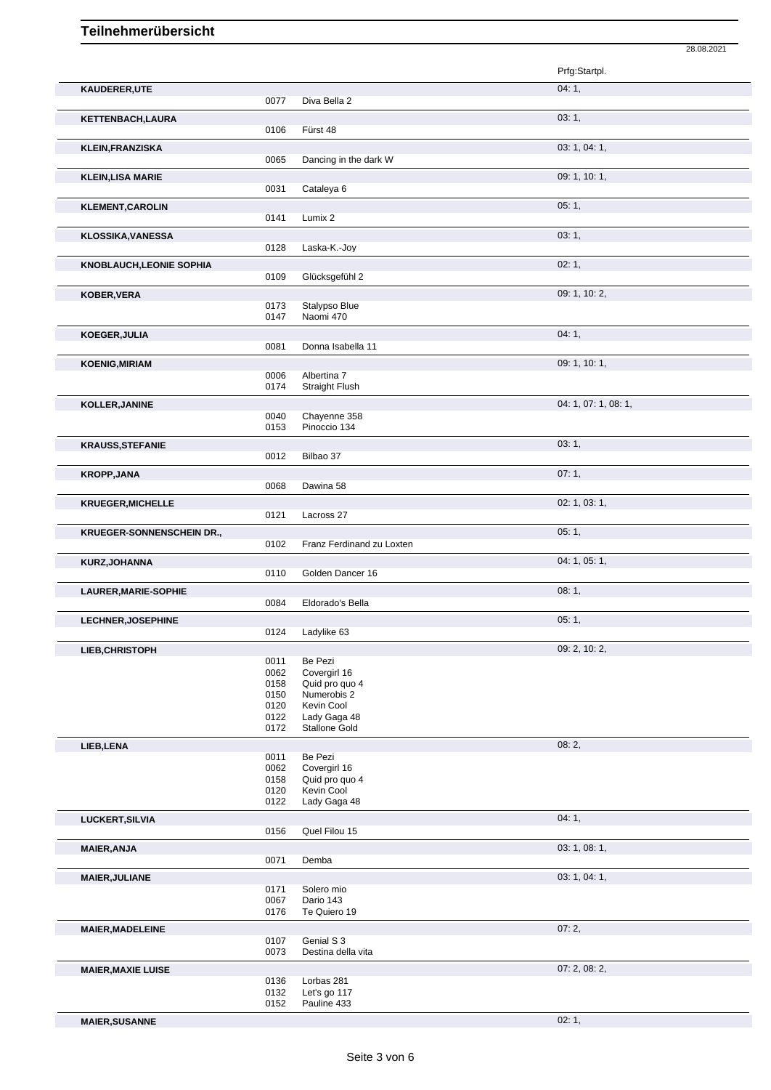|                                  |              |                                  | 28.08.2021           |
|----------------------------------|--------------|----------------------------------|----------------------|
|                                  |              |                                  | Prfg:Startpl.        |
| KAUDERER, UTE                    |              |                                  | 04:1,                |
|                                  | 0077         | Diva Bella 2                     |                      |
| KETTENBACH, LAURA                |              |                                  | 03:1,                |
|                                  | 0106         | Fürst 48                         |                      |
| <b>KLEIN, FRANZISKA</b>          |              |                                  | 03: 1, 04: 1,        |
|                                  | 0065         | Dancing in the dark W            |                      |
| <b>KLEIN, LISA MARIE</b>         |              |                                  | 09: 1, 10: 1,        |
|                                  | 0031         | Cataleya 6                       |                      |
| <b>KLEMENT, CAROLIN</b>          |              |                                  | 05:1,                |
|                                  | 0141         | Lumix 2                          |                      |
| <b>KLOSSIKA, VANESSA</b>         |              |                                  | 03: 1,               |
|                                  | 0128         | Laska-K.-Joy                     |                      |
| <b>KNOBLAUCH, LEONIE SOPHIA</b>  | 0109         |                                  | 02:1,                |
|                                  |              | Glücksgefühl 2                   |                      |
| KOBER, VERA                      | 0173         | Stalypso Blue                    | 09: 1, 10: 2,        |
|                                  | 0147         | Naomi 470                        |                      |
| KOEGER, JULIA                    |              |                                  | 04:1,                |
|                                  | 0081         | Donna Isabella 11                |                      |
| <b>KOENIG, MIRIAM</b>            |              |                                  | 09: 1, 10: 1,        |
|                                  | 0006         | Albertina 7                      |                      |
|                                  | 0174         | <b>Straight Flush</b>            |                      |
| KOLLER, JANINE                   |              |                                  | 04: 1, 07: 1, 08: 1, |
|                                  | 0040<br>0153 | Chayenne 358<br>Pinoccio 134     |                      |
| <b>KRAUSS, STEFANIE</b>          |              |                                  | 03:1,                |
|                                  | 0012         | Bilbao 37                        |                      |
| <b>KROPP, JANA</b>               |              |                                  | 07:1,                |
|                                  | 0068         | Dawina 58                        |                      |
| <b>KRUEGER, MICHELLE</b>         |              |                                  | 02: 1, 03: 1,        |
|                                  | 0121         | Lacross 27                       |                      |
| <b>KRUEGER-SONNENSCHEIN DR.,</b> |              |                                  | 05:1,                |
|                                  | 0102         | Franz Ferdinand zu Loxten        |                      |
| KURZ, JOHANNA                    |              |                                  | 04: 1, 05: 1,        |
|                                  | 0110         | Golden Dancer 16                 |                      |
| LAURER, MARIE-SOPHIE             | 0084         | Eldorado's Bella                 | 08:1,                |
|                                  |              |                                  |                      |
| LECHNER, JOSEPHINE               | 0124         | Ladylike 63                      | 05:1,                |
| LIEB, CHRISTOPH                  |              |                                  | 09: 2, 10: 2,        |
|                                  | 0011         | Be Pezi                          |                      |
|                                  | 0062         | Covergirl 16                     |                      |
|                                  | 0158<br>0150 | Quid pro quo 4<br>Numerobis 2    |                      |
|                                  | 0120         | Kevin Cool                       |                      |
|                                  | 0122         | Lady Gaga 48                     |                      |
|                                  | 0172         | <b>Stallone Gold</b>             |                      |
| LIEB, LENA                       | 0011         | Be Pezi                          | 08:2,                |
|                                  | 0062         | Covergirl 16                     |                      |
|                                  | 0158         | Quid pro quo 4                   |                      |
|                                  | 0120<br>0122 | Kevin Cool<br>Lady Gaga 48       |                      |
|                                  |              |                                  |                      |
| LUCKERT, SILVIA                  | 0156         | Quel Filou 15                    | 04:1,                |
|                                  |              |                                  | 03: 1, 08: 1,        |
| <b>MAIER, ANJA</b>               | 0071         | Demba                            |                      |
| <b>MAIER, JULIANE</b>            |              |                                  | 03: 1, 04: 1,        |
|                                  | 0171         | Solero mio                       |                      |
|                                  | 0067         | Dario 143                        |                      |
|                                  | 0176         | Te Quiero 19                     |                      |
| <b>MAIER, MADELEINE</b>          |              |                                  | 07:2,                |
|                                  | 0107<br>0073 | Genial S 3<br>Destina della vita |                      |
|                                  |              |                                  | 07: 2, 08: 2,        |
| <b>MAIER, MAXIE LUISE</b>        | 0136         | Lorbas 281                       |                      |
|                                  | 0132         | Let's go 117                     |                      |
|                                  | 0152         | Pauline 433                      |                      |

**MAIER, SUSANNE** 02: 1,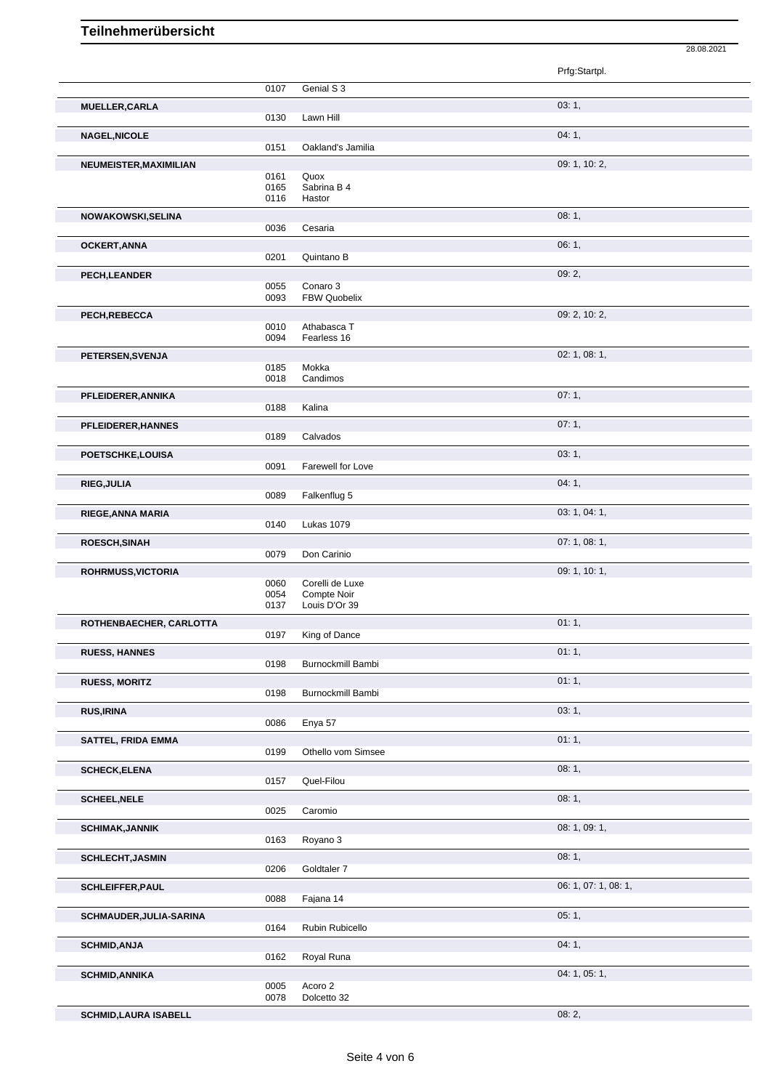| 28.08.2021 |  |
|------------|--|

|                             |              |                            | Prfg:Startpl.        |
|-----------------------------|--------------|----------------------------|----------------------|
|                             | 0107         | Genial S 3                 |                      |
| <b>MUELLER, CARLA</b>       | 0130         | Lawn Hill                  | 03:1,                |
| NAGEL, NICOLE               |              |                            | 04:1,                |
|                             | 0151         | Oakland's Jamilia          |                      |
| NEUMEISTER, MAXIMILIAN      |              |                            | 09: 1, 10: 2,        |
|                             | 0161         | Quox                       |                      |
|                             | 0165         | Sabrina B 4                |                      |
|                             | 0116         | Hastor                     |                      |
| NOWAKOWSKI, SELINA          | 0036         | Cesaria                    | 08:1,                |
|                             |              |                            | 06:1,                |
| <b>OCKERT, ANNA</b>         | 0201         | Quintano B                 |                      |
| PECH, LEANDER               |              |                            | 09:2,                |
|                             | 0055         | Conaro 3                   |                      |
|                             | 0093         | FBW Quobelix               |                      |
| PECH, REBECCA               |              |                            | 09: 2, 10: 2,        |
|                             | 0010<br>0094 | Athabasca T<br>Fearless 16 |                      |
|                             |              |                            | 02: 1, 08: 1,        |
| PETERSEN, SVENJA            | 0185         | Mokka                      |                      |
|                             | 0018         | Candimos                   |                      |
| PFLEIDERER, ANNIKA          |              |                            | 07:1,                |
|                             | 0188         | Kalina                     |                      |
| PFLEIDERER, HANNES          |              |                            | 07:1,                |
|                             | 0189         | Calvados                   |                      |
| POETSCHKE,LOUISA            |              |                            | 03:1,                |
|                             | 0091         | Farewell for Love          |                      |
| <b>RIEG, JULIA</b>          |              |                            | 04:1,                |
|                             | 0089         | Falkenflug 5               |                      |
| RIEGE, ANNA MARIA           | 0140         | Lukas 1079                 | 03: 1, 04: 1,        |
|                             |              |                            |                      |
| ROESCH, SINAH               | 0079         | Don Carinio                | 07: 1, 08: 1,        |
| ROHRMUSS, VICTORIA          |              |                            | 09: 1, 10: 1,        |
|                             | 0060         | Corelli de Luxe            |                      |
|                             | 0054         | Compte Noir                |                      |
|                             | 0137         | Louis D'Or 39              |                      |
| ROTHENBAECHER, CARLOTTA     | 0197         | King of Dance              | 01:1,                |
|                             |              |                            | 01:1,                |
| <b>RUESS, HANNES</b>        | 0198         | Burnockmill Bambi          |                      |
| <b>RUESS, MORITZ</b>        |              |                            | 01:1,                |
|                             | 0198         | Burnockmill Bambi          |                      |
| <b>RUS, IRINA</b>           |              |                            | 03:1,                |
|                             | 0086         | Enya 57                    |                      |
| SATTEL, FRIDA EMMA          |              |                            | 01:1,                |
|                             | 0199         | Othello vom Simsee         |                      |
| <b>SCHECK, ELENA</b>        |              |                            | 08:1,                |
|                             | 0157         | Quel-Filou                 |                      |
| <b>SCHEEL, NELE</b>         |              |                            | 08:1,                |
|                             | 0025         | Caromio                    |                      |
| <b>SCHIMAK, JANNIK</b>      | 0163         | Royano 3                   | 08: 1, 09: 1,        |
| <b>SCHLECHT, JASMIN</b>     |              |                            | 08:1,                |
|                             | 0206         | Goldtaler 7                |                      |
| <b>SCHLEIFFER, PAUL</b>     |              |                            | 06: 1, 07: 1, 08: 1, |
|                             | 0088         | Fajana 14                  |                      |
| SCHMAUDER, JULIA-SARINA     |              |                            | 05:1,                |
|                             | 0164         | Rubin Rubicello            |                      |
| <b>SCHMID, ANJA</b>         |              |                            | 04:1,                |
|                             | 0162         | Royal Runa                 |                      |
| <b>SCHMID, ANNIKA</b>       |              |                            | 04: 1, 05: 1,        |
|                             | 0005<br>0078 | Acoro 2<br>Dolcetto 32     |                      |
| <b>COUMIN LAUDA ICADELL</b> |              |                            | $\Omega$ $\Omega$    |

**SCHMID,LAURA ISABELL**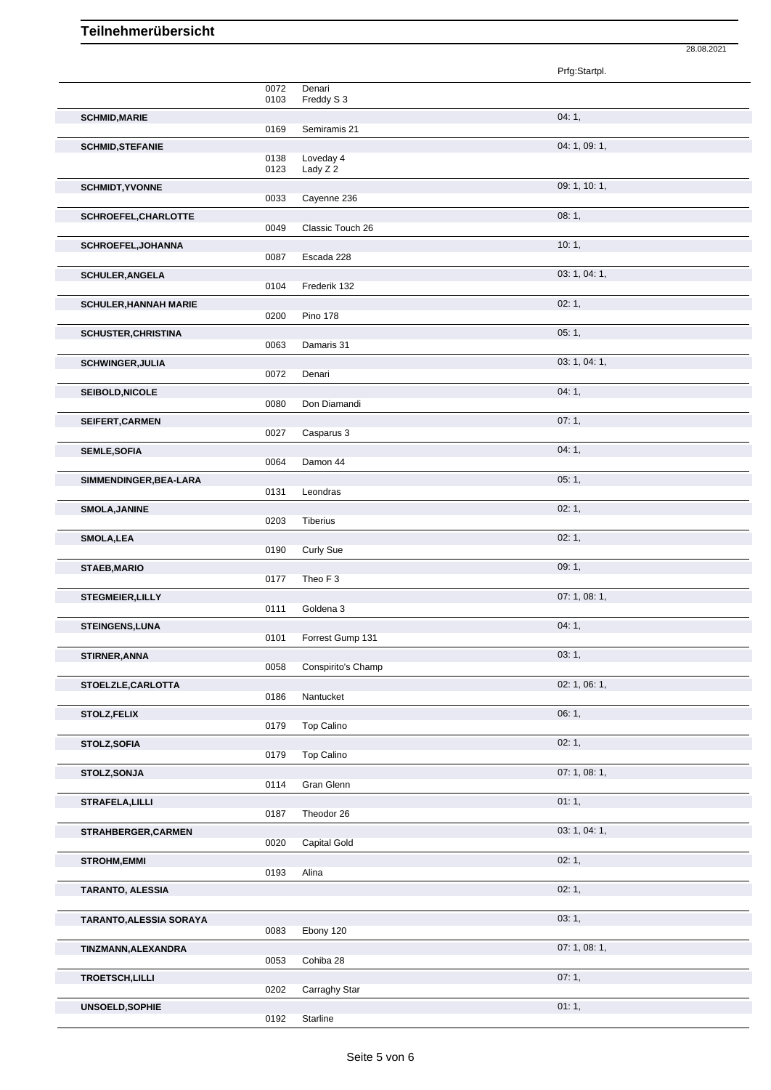|                                |              |                       | 28.08.2021    |  |
|--------------------------------|--------------|-----------------------|---------------|--|
|                                |              |                       | Prfg:Startpl. |  |
|                                | 0072<br>0103 | Denari<br>Freddy S 3  |               |  |
| <b>SCHMID, MARIE</b>           | 0169         | Semiramis 21          | 04:1,         |  |
| <b>SCHMID, STEFANIE</b>        |              |                       | 04: 1, 09: 1, |  |
|                                | 0138<br>0123 | Loveday 4<br>Lady Z 2 |               |  |
| <b>SCHMIDT, YVONNE</b>         |              |                       | 09: 1, 10: 1, |  |
| SCHROEFEL, CHARLOTTE           | 0033         | Cayenne 236           | 08:1,         |  |
|                                | 0049         | Classic Touch 26      |               |  |
| SCHROEFEL, JOHANNA             | 0087         | Escada 228            | 10:1,         |  |
| <b>SCHULER, ANGELA</b>         |              |                       | 03: 1, 04: 1, |  |
|                                | 0104         | Frederik 132          | 02:1,         |  |
| <b>SCHULER, HANNAH MARIE</b>   | 0200         | <b>Pino 178</b>       |               |  |
| <b>SCHUSTER, CHRISTINA</b>     | 0063         | Damaris 31            | 05:1,         |  |
| <b>SCHWINGER, JULIA</b>        |              |                       | 03: 1, 04: 1, |  |
|                                | 0072         | Denari                |               |  |
| SEIBOLD, NICOLE                | 0080         | Don Diamandi          | 04:1,         |  |
| SEIFERT, CARMEN                | 0027         |                       | 07:1,         |  |
| <b>SEMLE, SOFIA</b>            |              | Casparus 3            | 04:1,         |  |
|                                | 0064         | Damon 44              |               |  |
| SIMMENDINGER, BEA-LARA         | 0131         | Leondras              | 05:1,         |  |
| <b>SMOLA, JANINE</b>           |              |                       | 02:1,         |  |
| <b>SMOLA, LEA</b>              | 0203         | Tiberius              | 02:1,         |  |
|                                | 0190         | <b>Curly Sue</b>      |               |  |
| <b>STAEB, MARIO</b>            | 0177         | Theo F <sub>3</sub>   | 09:1,         |  |
| <b>STEGMEIER, LILLY</b>        |              |                       | 07:1,08:1,    |  |
| <b>STEINGENS,LUNA</b>          | 0111         | Goldena 3             | 04: 1,        |  |
|                                | 0101         | Forrest Gump 131      |               |  |
| STIRNER, ANNA                  | 0058         | Conspirito's Champ    | 03:1,         |  |
| STOELZLE, CARLOTTA             |              |                       | 02: 1, 06: 1, |  |
| STOLZ, FELIX                   | 0186         | Nantucket             | 06: 1,        |  |
|                                | 0179         | Top Calino            |               |  |
| STOLZ, SOFIA                   | 0179         | Top Calino            | 02:1,         |  |
| STOLZ, SONJA                   |              |                       | 07:1,08:1,    |  |
|                                | 0114         | Gran Glenn            | 01:1,         |  |
| <b>STRAFELA, LILLI</b>         | 0187         | Theodor 26            |               |  |
| STRAHBERGER, CARMEN            | 0020         | Capital Gold          | 03: 1, 04: 1, |  |
| <b>STROHM, EMMI</b>            |              |                       | 02:1,         |  |
|                                | 0193         | Alina                 |               |  |
| TARANTO, ALESSIA               |              |                       | 02:1,         |  |
| <b>TARANTO, ALESSIA SORAYA</b> | 0083         |                       | 03:1,         |  |
| TINZMANN, ALEXANDRA            |              | Ebony 120             | 07: 1, 08: 1, |  |
|                                | 0053         | Cohiba 28             |               |  |
| TROETSCH, LILLI                | 0202         | Carraghy Star         | 07:1,         |  |
| UNSOELD, SOPHIE                |              |                       | 01:1,         |  |
|                                | 0192         | Starline              |               |  |